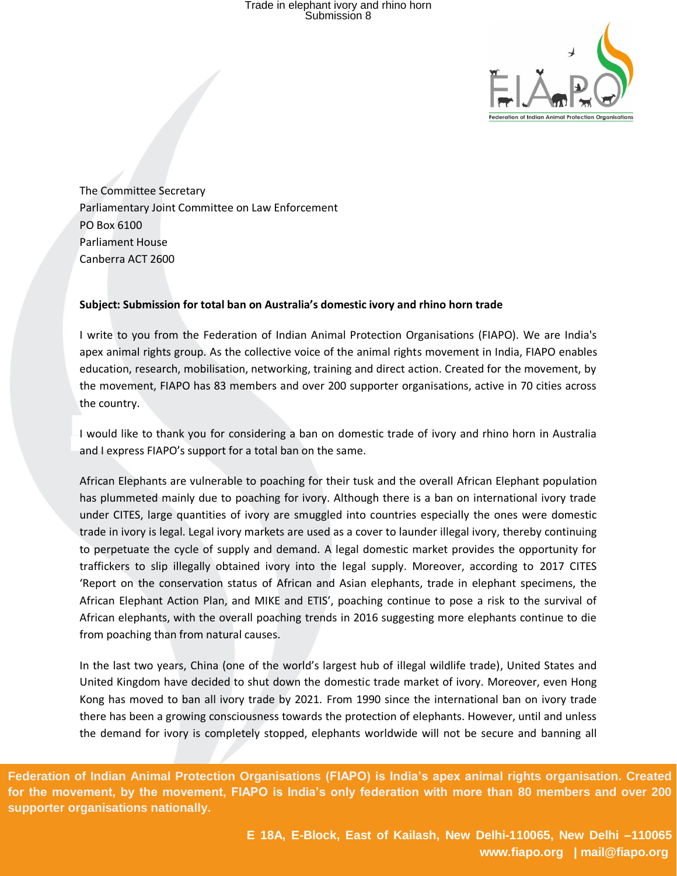

The Committee Secretary Parliamentary Joint Committee on Law Enforcement PO Box 6100 Parliament House Canberra ACT 2600

## **Subject: Submission for total ban on Australia's domestic ivory and rhino horn trade**

I write to you from the Federation of Indian Animal Protection Organisations (FIAPO). We are India's apex animal rights group. As the collective voice of the animal rights movement in India, FIAPO enables education, research, mobilisation, networking, training and direct action. Created for the movement, by the movement, FIAPO has 83 members and over 200 supporter organisations, active in 70 cities across the country.

I would like to thank you for considering a ban on domestic trade of ivory and rhino horn in Australia and I express FIAPO's support for a total ban on the same.

African Elephants are vulnerable to poaching for their tusk and the overall African Elephant population has plummeted mainly due to poaching for ivory. Although there is a ban on international ivory trade under CITES, large quantities of ivory are smuggled into countries especially the ones were domestic trade in ivory is legal. Legal ivory markets are used as a cover to launder illegal ivory, thereby continuing to perpetuate the cycle of supply and demand. A legal domestic market provides the opportunity for traffickers to slip illegally obtained ivory into the legal supply. Moreover, according to 2017 CITES 'Report on the conservation status of African and Asian elephants, trade in elephant specimens, the African Elephant Action Plan, and MIKE and ETIS', poaching continue to pose a risk to the survival of African elephants, with the overall poaching trends in 2016 suggesting more elephants continue to die from poaching than from natural causes.

In the last two years, China (one of the world's largest hub of illegal wildlife trade), United States and United Kingdom have decided to shut down the domestic trade market of ivory. Moreover, even Hong Kong has moved to ban all ivory trade by 2021. From 1990 since the international ban on ivory trade there has been a growing consciousness towards the protection of elephants. However, until and unless the demand for ivory is completely stopped, elephants worldwide will not be secure and banning all

**Federation of Indian Animal Protection Organisations (FIAPO) is India's apex animal rights organisation. Created for the movement, by the movement, FIAPO is India's only federation with more than 80 members and over 200 supporter organisations nationally.**